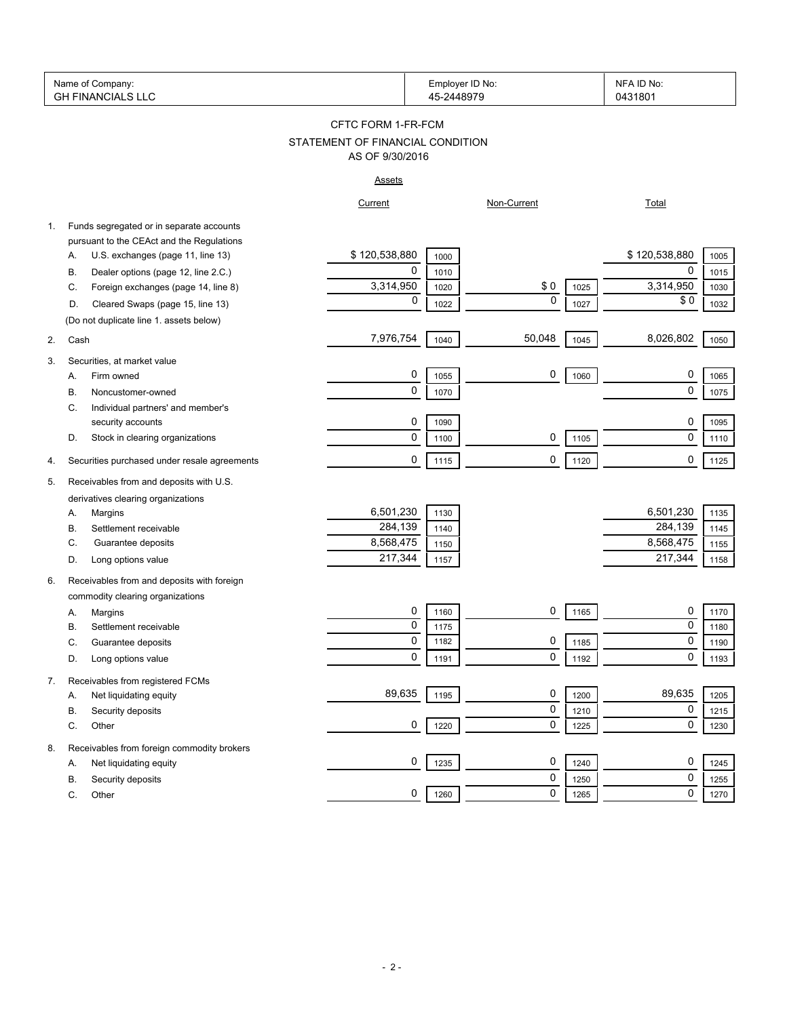| Name of Company:           | Employer ID No: | No:<br>ᄭ     |
|----------------------------|-----------------|--------------|
| ∩⊔ ⊺<br>. FINANC'<br>CIALS | 1007            | 131801<br>14 |

### STATEMENT OF FINANCIAL CONDITION CFTC FORM 1-FR-FCM AS OF 9/30/2016

### Assets

|    |                                              | Current       |      | Non-Current |      | Total         |      |
|----|----------------------------------------------|---------------|------|-------------|------|---------------|------|
| 1. | Funds segregated or in separate accounts     |               |      |             |      |               |      |
|    | pursuant to the CEAct and the Regulations    |               |      |             |      |               |      |
|    | U.S. exchanges (page 11, line 13)<br>Α.      | \$120,538,880 | 1000 |             |      | \$120,538,880 | 1005 |
|    | Dealer options (page 12, line 2.C.)<br>B     | $\mathbf 0$   | 1010 |             |      | $\mathbf 0$   | 1015 |
|    | Foreign exchanges (page 14, line 8)<br>C.    | 3,314,950     | 1020 | \$0         | 1025 | 3,314,950     | 1030 |
|    | D.<br>Cleared Swaps (page 15, line 13)       | $\mathbf 0$   | 1022 | 0           | 1027 | \$0           | 1032 |
|    | (Do not duplicate line 1. assets below)      |               |      |             |      |               |      |
| 2. | Cash                                         | 7,976,754     | 1040 | 50,048      | 1045 | 8,026,802     | 1050 |
| 3. | Securities, at market value                  |               |      |             |      |               |      |
|    | Firm owned<br>А.                             | 0             | 1055 | 0           | 1060 | 0             | 1065 |
|    | В.<br>Noncustomer-owned                      | 0             | 1070 |             |      | 0             | 1075 |
|    | C.<br>Individual partners' and member's      |               |      |             |      |               |      |
|    | security accounts                            | 0             | 1090 |             |      | 0             | 1095 |
|    | D.<br>Stock in clearing organizations        | 0             | 1100 | 0           | 1105 | 0             | 1110 |
| 4. | Securities purchased under resale agreements | $\mathbf{0}$  | 1115 | 0           | 1120 | 0             | 1125 |
| 5. | Receivables from and deposits with U.S.      |               |      |             |      |               |      |
|    | derivatives clearing organizations           |               |      |             |      |               |      |
|    | Margins<br>А.                                | 6,501,230     | 1130 |             |      | 6,501,230     | 1135 |
|    | Β.<br>Settlement receivable                  | 284,139       | 1140 |             |      | 284,139       | 1145 |
|    | C.<br>Guarantee deposits                     | 8,568,475     | 1150 |             |      | 8,568,475     | 1155 |
|    | D.<br>Long options value                     | 217,344       | 1157 |             |      | 217,344       | 1158 |
| 6. | Receivables from and deposits with foreign   |               |      |             |      |               |      |
|    | commodity clearing organizations             |               |      |             |      |               |      |
|    | Margins<br>А.                                | 0             | 1160 | 0           | 1165 | $\pmb{0}$     | 1170 |
|    | В.<br>Settlement receivable                  | 0             | 1175 |             |      | $\mathbf 0$   | 1180 |
|    | C.<br>Guarantee deposits                     | 0             | 1182 | 0           | 1185 | $\mathbf 0$   | 1190 |
|    | Long options value<br>D.                     | $\Omega$      | 1191 | $\mathbf 0$ | 1192 | $\mathbf 0$   | 1193 |
| 7. | Receivables from registered FCMs             |               |      |             |      |               |      |
|    | Net liquidating equity<br>А.                 | 89,635        | 1195 | 0           | 1200 | 89,635        | 1205 |
|    | <b>B.</b><br>Security deposits               |               |      | $\mathbf 0$ | 1210 | $\mathbf 0$   | 1215 |
|    | C.<br>Other                                  | 0             | 1220 | 0           | 1225 | 0             | 1230 |
| 8. | Receivables from foreign commodity brokers   |               |      |             |      |               |      |
|    | А.<br>Net liquidating equity                 | 0             | 1235 | 0           | 1240 | 0             | 1245 |
|    | <b>B.</b><br>Security deposits               |               |      | 0           | 1250 | 0             | 1255 |
|    | C.<br>Other                                  | 0             | 1260 | 0           | 1265 | $\mathbf 0$   | 1270 |
|    |                                              |               |      |             |      |               |      |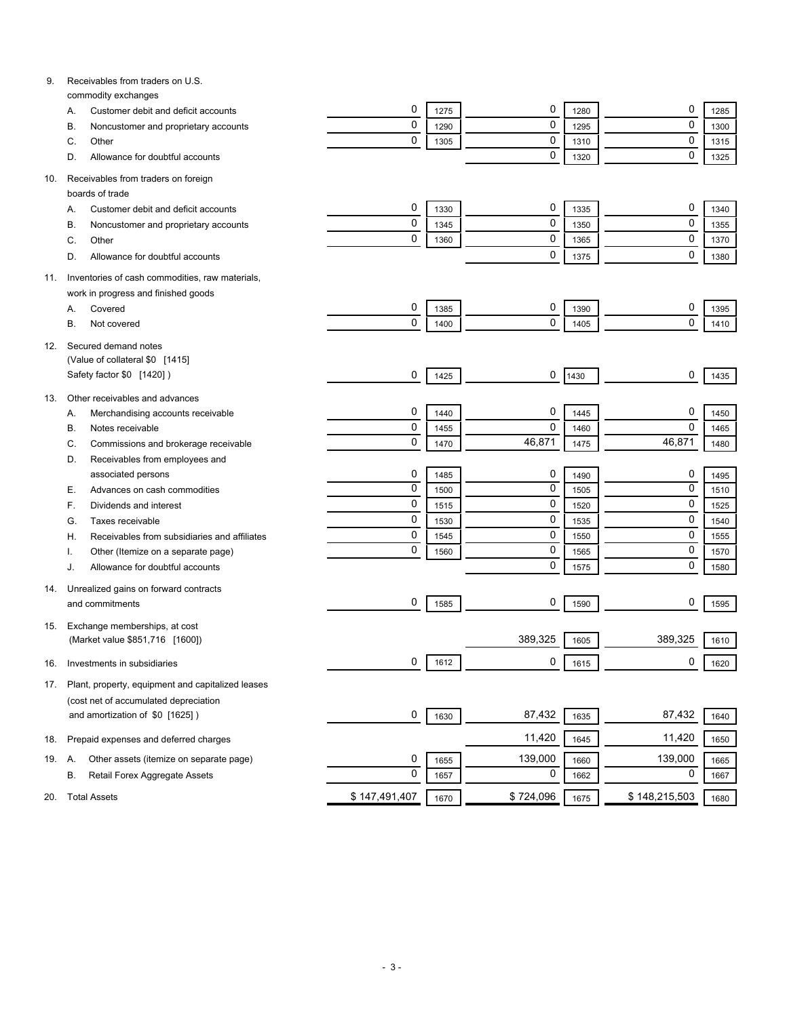| 9.  | Receivables from traders on U.S.                   |               |      |           |      |               |      |
|-----|----------------------------------------------------|---------------|------|-----------|------|---------------|------|
|     | commodity exchanges                                |               |      |           |      |               |      |
|     | Customer debit and deficit accounts<br>А.          | 0             | 1275 | 0         | 1280 | 0             | 1285 |
|     | Noncustomer and proprietary accounts<br>В.         | 0             | 1290 | 0         | 1295 | 0             | 1300 |
|     | Other<br>C.                                        | 0             | 1305 | 0         | 1310 | 0             | 1315 |
|     | Allowance for doubtful accounts<br>D.              |               |      | 0         | 1320 | 0             | 1325 |
| 10. | Receivables from traders on foreign                |               |      |           |      |               |      |
|     | boards of trade                                    |               |      |           |      |               |      |
|     | Customer debit and deficit accounts<br>А.          | 0             | 1330 | 0         | 1335 | 0             | 1340 |
|     | В.<br>Noncustomer and proprietary accounts         | 0             | 1345 | 0         | 1350 | 0             | 1355 |
|     | C.<br>Other                                        | 0             | 1360 | 0         | 1365 | 0             | 1370 |
|     | Allowance for doubtful accounts<br>D.              |               |      | 0         | 1375 | 0             | 1380 |
| 11. | Inventories of cash commodities, raw materials,    |               |      |           |      |               |      |
|     | work in progress and finished goods                |               |      |           |      |               |      |
|     | Covered<br>А.                                      | 0             | 1385 | 0         | 1390 | 0             | 1395 |
|     | В.<br>Not covered                                  | 0             | 1400 | 0         | 1405 | $\mathbf 0$   | 1410 |
|     |                                                    |               |      |           |      |               |      |
| 12. | Secured demand notes                               |               |      |           |      |               |      |
|     | (Value of collateral \$0 [1415]                    |               |      |           |      |               |      |
|     | Safety factor \$0 [1420])                          | 0             | 1425 | 0         | 1430 | 0             | 1435 |
| 13. | Other receivables and advances                     |               |      |           |      |               |      |
|     | Merchandising accounts receivable<br>А.            | 0             | 1440 | 0         | 1445 | 0             | 1450 |
|     | Notes receivable<br>В.                             | 0             | 1455 | 0         | 1460 | $\mathbf 0$   | 1465 |
|     | Commissions and brokerage receivable<br>C.         | 0             | 1470 | 46,871    | 1475 | 46,871        | 1480 |
|     | Receivables from employees and<br>D.               |               |      |           |      |               |      |
|     | associated persons                                 | 0             | 1485 | 0         | 1490 | 0             | 1495 |
|     | Е.<br>Advances on cash commodities                 | 0             | 1500 | 0         | 1505 | 0             | 1510 |
|     | F.<br>Dividends and interest                       | 0             | 1515 | 0         | 1520 | 0             | 1525 |
|     | G.<br>Taxes receivable                             | 0             | 1530 | 0         | 1535 | 0             | 1540 |
|     | Receivables from subsidiaries and affiliates<br>Η. | 0             | 1545 | 0         | 1550 | 0             | 1555 |
|     | Other (Itemize on a separate page)                 | 0             | 1560 | 0         | 1565 | 0             | 1570 |
|     | Allowance for doubtful accounts<br>J.              |               |      | 0         | 1575 | 0             | 1580 |
|     |                                                    |               |      |           |      |               |      |
| 14. | Unrealized gains on forward contracts              |               |      |           |      |               |      |
|     | and commitments                                    | 0             | 1585 | 0         | 1590 | 0             | 1595 |
| 15. | Exchange memberships, at cost                      |               |      |           |      |               |      |
|     | (Market value \$851,716 [1600])                    |               |      | 389,325   | 1605 | 389,325       | 1610 |
| 16. | Investments in subsidiaries                        | 0             | 1612 | 0         | 1615 | 0             | 1620 |
|     |                                                    |               |      |           |      |               |      |
| 17. | Plant, property, equipment and capitalized leases  |               |      |           |      |               |      |
|     | (cost net of accumulated depreciation              |               |      |           |      |               |      |
|     | and amortization of \$0 [1625])                    | 0             | 1630 | 87,432    | 1635 | 87,432        | 1640 |
| 18. | Prepaid expenses and deferred charges              |               |      | 11,420    | 1645 | 11,420        | 1650 |
| 19. | Other assets (itemize on separate page)<br>Α.      | 0             | 1655 | 139,000   | 1660 | 139,000       | 1665 |
|     | В.<br>Retail Forex Aggregate Assets                | 0             | 1657 | 0         | 1662 | 0             | 1667 |
|     |                                                    |               |      |           |      |               |      |
| 20. | <b>Total Assets</b>                                | \$147,491,407 | 1670 | \$724,096 | 1675 | \$148,215,503 | 1680 |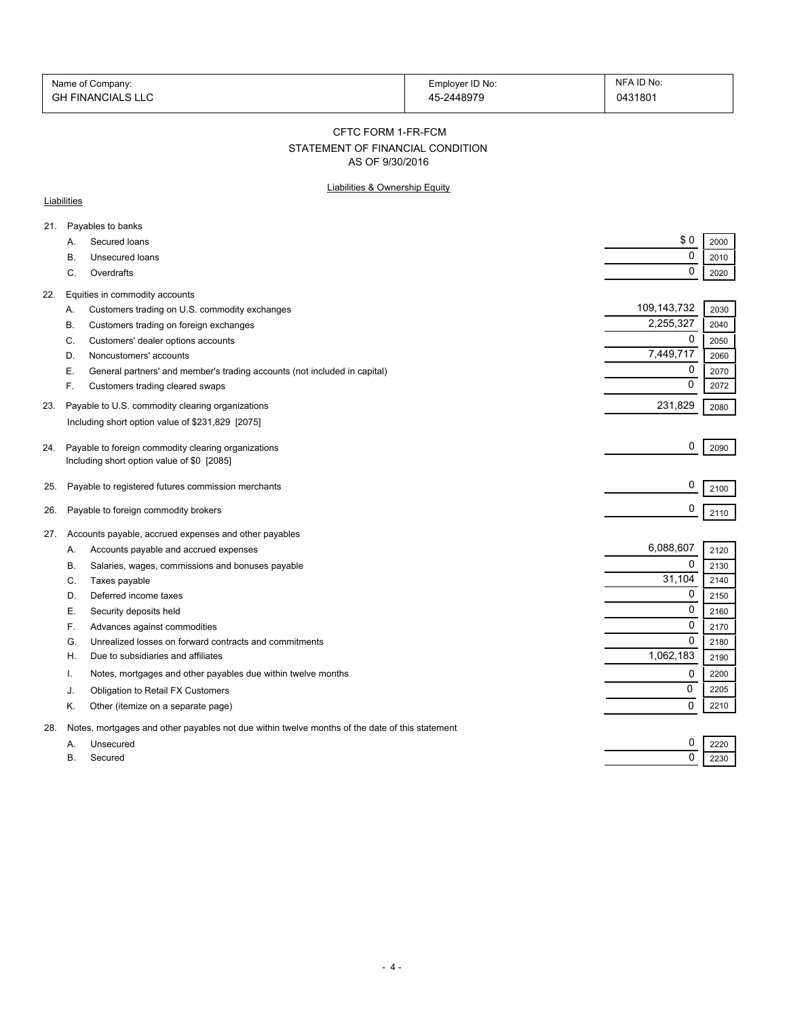| Name of Company:         | Employer ID No: | NFA ID No:   |
|--------------------------|-----------------|--------------|
| <b>GH FINANCIALS LLC</b> | 2448979<br>∕    | 0431801<br>. |

CFTC FORM 1-FR-FCM

# STATEMENT OF FINANCIAL CONDITION

AS OF 9/30/2016

### Liabilities & Ownership Equity

#### **Liabilities**

| А.        | Secured loans                                                                                  |             |      |
|-----------|------------------------------------------------------------------------------------------------|-------------|------|
|           |                                                                                                | \$0         | 2000 |
| <b>B.</b> | Unsecured loans                                                                                | 0           | 2010 |
| C.        | Overdrafts                                                                                     | 0           | 2020 |
| 22.       | Equities in commodity accounts                                                                 |             |      |
| Α.        | Customers trading on U.S. commodity exchanges                                                  | 109,143,732 | 2030 |
| В.        | Customers trading on foreign exchanges                                                         | 2,255,327   | 2040 |
| C.        | Customers' dealer options accounts                                                             | $\mathbf 0$ | 2050 |
| D.        | Noncustomers' accounts                                                                         | 7,449,717   | 2060 |
| Е         | General partners' and member's trading accounts (not included in capital)                      | 0           | 2070 |
| F.        | Customers trading cleared swaps                                                                | 0           | 2072 |
| 23.       | Payable to U.S. commodity clearing organizations                                               | 231,829     |      |
|           |                                                                                                |             | 2080 |
|           | Including short option value of \$231,829 [2075]                                               |             |      |
| 24.       | Payable to foreign commodity clearing organizations                                            | 0           | 2090 |
|           | Including short option value of \$0 [2085]                                                     |             |      |
|           |                                                                                                | 0           |      |
| 25.       | Payable to registered futures commission merchants                                             |             | 2100 |
| 26.       | Payable to foreign commodity brokers                                                           | 0           | 2110 |
|           |                                                                                                |             |      |
| 27.       | Accounts payable, accrued expenses and other payables                                          |             |      |
| А.        | Accounts payable and accrued expenses                                                          | 6,088,607   | 2120 |
| В.        | Salaries, wages, commissions and bonuses payable                                               | 0           | 2130 |
| C.        | Taxes payable                                                                                  | 31,104      | 2140 |
| D.        | Deferred income taxes                                                                          | 0           | 2150 |
| Е.        | Security deposits held                                                                         | $\mathbf 0$ | 2160 |
| F.        | Advances against commodities                                                                   | 0           | 2170 |
| G.        | Unrealized losses on forward contracts and commitments                                         | $\Omega$    | 2180 |
| Η.        | Due to subsidiaries and affiliates                                                             | 1,062,183   | 2190 |
| Ι.        | Notes, mortgages and other payables due within twelve months                                   | 0           | 2200 |
| J.        | Obligation to Retail FX Customers                                                              | 0           | 2205 |
| Κ.        | Other (itemize on a separate page)                                                             | 0           | 2210 |
| 28.       | Notes, mortgages and other payables not due within twelve months of the date of this statement |             |      |
| A.        | Unsecured                                                                                      | 0           | 2220 |
| <b>B.</b> | Secured                                                                                        | 0           | 2230 |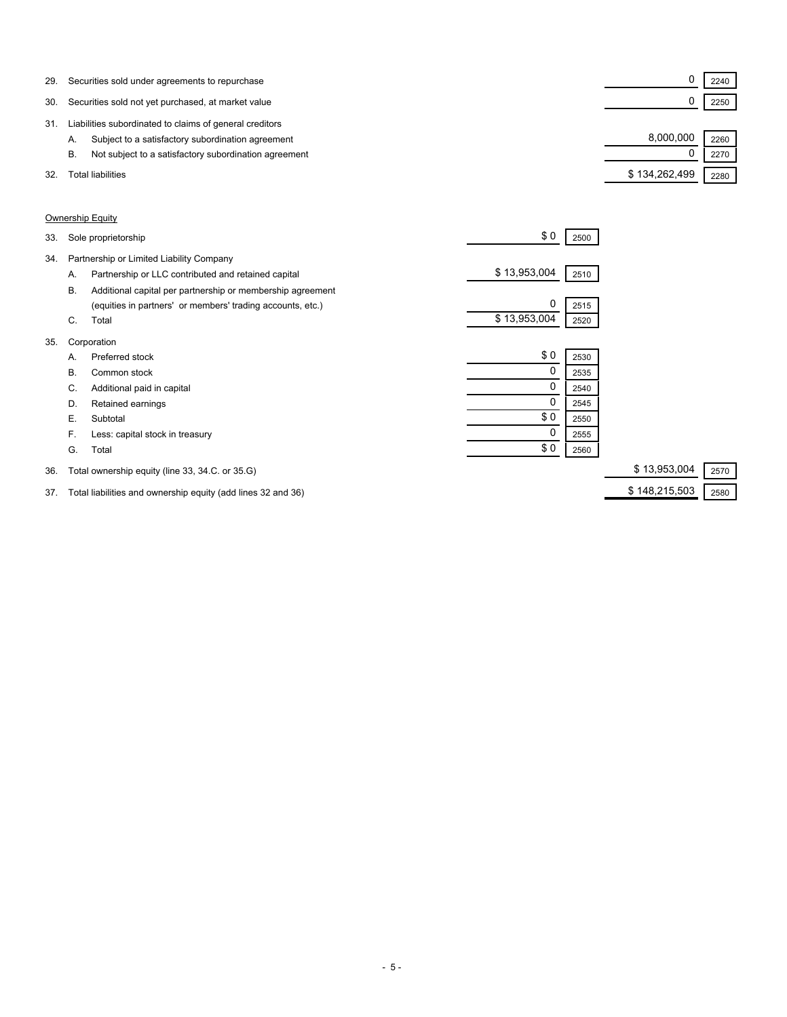| 29. | Securities sold under agreements to repurchase              |               | 2240 |
|-----|-------------------------------------------------------------|---------------|------|
| 30. | Securities sold not yet purchased, at market value          |               | 2250 |
| 31. | Liabilities subordinated to claims of general creditors     |               |      |
|     | Subject to a satisfactory subordination agreement<br>А.     | 8,000,000     | 2260 |
|     | Not subject to a satisfactory subordination agreement<br>В. |               | 2270 |
| 32. | Total liabilities                                           | \$134,262,499 | 2280 |

### Ownership Equity

| 33. |    | Sole proprietorship                                        | \$0          | 2500 |                      |
|-----|----|------------------------------------------------------------|--------------|------|----------------------|
| 34. |    | Partnership or Limited Liability Company                   |              |      |                      |
|     | Α. | Partnership or LLC contributed and retained capital        | \$13,953,004 | 2510 |                      |
|     | В. | Additional capital per partnership or membership agreement |              |      |                      |
|     |    | (equities in partners' or members' trading accounts, etc.) | 0            | 2515 |                      |
|     | C. | Total                                                      | \$13,953,004 | 2520 |                      |
| 35. |    | Corporation                                                |              |      |                      |
|     | A. | Preferred stock                                            | \$0          | 2530 |                      |
|     | В. | Common stock                                               | 0            | 2535 |                      |
|     | C. | Additional paid in capital                                 | 0            | 2540 |                      |
|     | D. | Retained earnings                                          |              | 2545 |                      |
|     | Е. | Subtotal                                                   | \$0          | 2550 |                      |
|     | F. | Less: capital stock in treasury                            | 0            | 2555 |                      |
|     | G. | Total                                                      | \$0          | 2560 |                      |
| 36. |    | Total ownership equity (line 33, 34.C. or 35.G)            |              |      | \$13,953,004<br>2570 |

# 37. Total liabilities and ownership equity (add lines 32 and 36) \$ 148,215,503 \$ 148,215,503 2580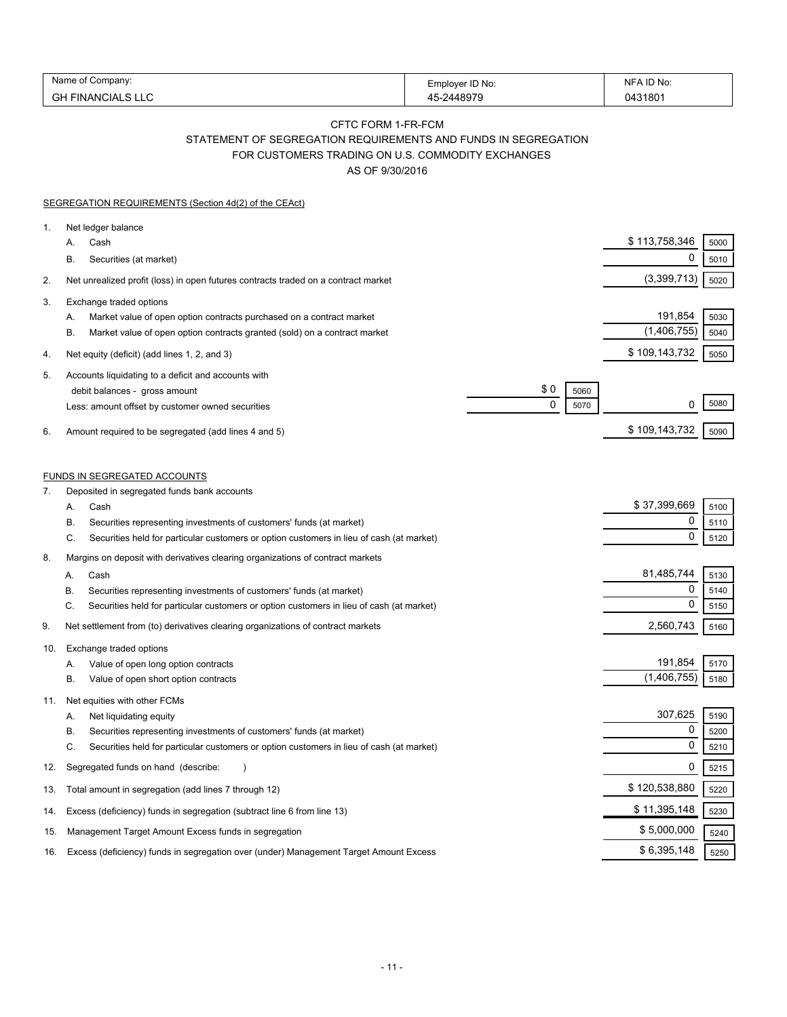| Name            |                 | ID No:     |
|-----------------|-----------------|------------|
| :ompanv:        | Emplover ID No: | <b>NIH</b> |
| GH<br>FINANCIAL | 311907c         | 0431801    |

### CFTC FORM 1-FR-FCM

STATEMENT OF SEGREGATION REQUIREMENTS AND FUNDS IN SEGREGATION

FOR CUSTOMERS TRADING ON U.S. COMMODITY EXCHANGES

AS OF 9/30/2016

|          | SEGREGATION REQUIREMENTS (Section 4d(2) of the CEAct)                                                                                                                                                                                                                      |                                    |                           |                      |
|----------|----------------------------------------------------------------------------------------------------------------------------------------------------------------------------------------------------------------------------------------------------------------------------|------------------------------------|---------------------------|----------------------|
| 1.       | Net ledger balance<br>Cash<br>А.<br>В.<br>Securities (at market)                                                                                                                                                                                                           |                                    | \$113,758,346<br>0        | 5000<br>5010         |
| 2.       | Net unrealized profit (loss) in open futures contracts traded on a contract market                                                                                                                                                                                         |                                    | (3,399,713)               | 5020                 |
| 3.       | Exchange traded options<br>Market value of open option contracts purchased on a contract market<br>А.<br>В.<br>Market value of open option contracts granted (sold) on a contract market                                                                                   |                                    | 191,854<br>(1,406,755)    | 5030<br>5040         |
| 4.       | Net equity (deficit) (add lines 1, 2, and 3)                                                                                                                                                                                                                               |                                    | \$109,143,732             | 5050                 |
| 5.<br>6. | Accounts liquidating to a deficit and accounts with<br>debit balances - gross amount<br>Less: amount offset by customer owned securities<br>Amount required to be segregated (add lines 4 and 5)                                                                           | \$0<br>5060<br>$\mathbf 0$<br>5070 | 0<br>\$109,143,732        | 5080<br>5090         |
|          |                                                                                                                                                                                                                                                                            |                                    |                           |                      |
| 7.       | <b>FUNDS IN SEGREGATED ACCOUNTS</b><br>Deposited in segregated funds bank accounts                                                                                                                                                                                         |                                    |                           |                      |
|          | Cash<br>А.<br>Securities representing investments of customers' funds (at market)<br>В.                                                                                                                                                                                    |                                    | \$37,399,669<br>0         | 5100<br>5110         |
|          | Securities held for particular customers or option customers in lieu of cash (at market)<br>C.                                                                                                                                                                             |                                    | $\mathbf 0$               | 5120                 |
| 8.       | Margins on deposit with derivatives clearing organizations of contract markets<br>Cash<br>А.<br>В<br>Securities representing investments of customers' funds (at market)<br>C.<br>Securities held for particular customers or option customers in lieu of cash (at market) |                                    | 81,485,744<br>0<br>0      | 5130<br>5140<br>5150 |
| 9.       | Net settlement from (to) derivatives clearing organizations of contract markets                                                                                                                                                                                            |                                    | 2,560,743                 | 5160                 |
| 10.      | Exchange traded options<br>Value of open long option contracts<br>Α.<br>Value of open short option contracts<br>В.                                                                                                                                                         |                                    | 191,854<br>(1,406,755)    | 5170<br>5180         |
| 11.      | Net equities with other FCMs<br>Net liquidating equity<br>А.<br>Securities representing investments of customers' funds (at market)<br>В.<br>C.<br>Securities held for particular customers or option customers in lieu of cash (at market)                                |                                    | 307,625<br>$\pmb{0}$<br>0 | 5190<br>5200<br>5210 |
| 12.      | Segregated funds on hand (describe:                                                                                                                                                                                                                                        |                                    | 0                         | 5215                 |
| 13.      | Total amount in segregation (add lines 7 through 12)                                                                                                                                                                                                                       |                                    | \$120,538,880             | 5220                 |
| 14.      | Excess (deficiency) funds in segregation (subtract line 6 from line 13)                                                                                                                                                                                                    |                                    | \$11,395,148              | 5230                 |
| 15.      | Management Target Amount Excess funds in segregation                                                                                                                                                                                                                       |                                    | \$5,000,000               | 5240                 |
| 16.      | Excess (deficiency) funds in segregation over (under) Management Target Amount Excess                                                                                                                                                                                      |                                    | \$6,395,148               | 5250                 |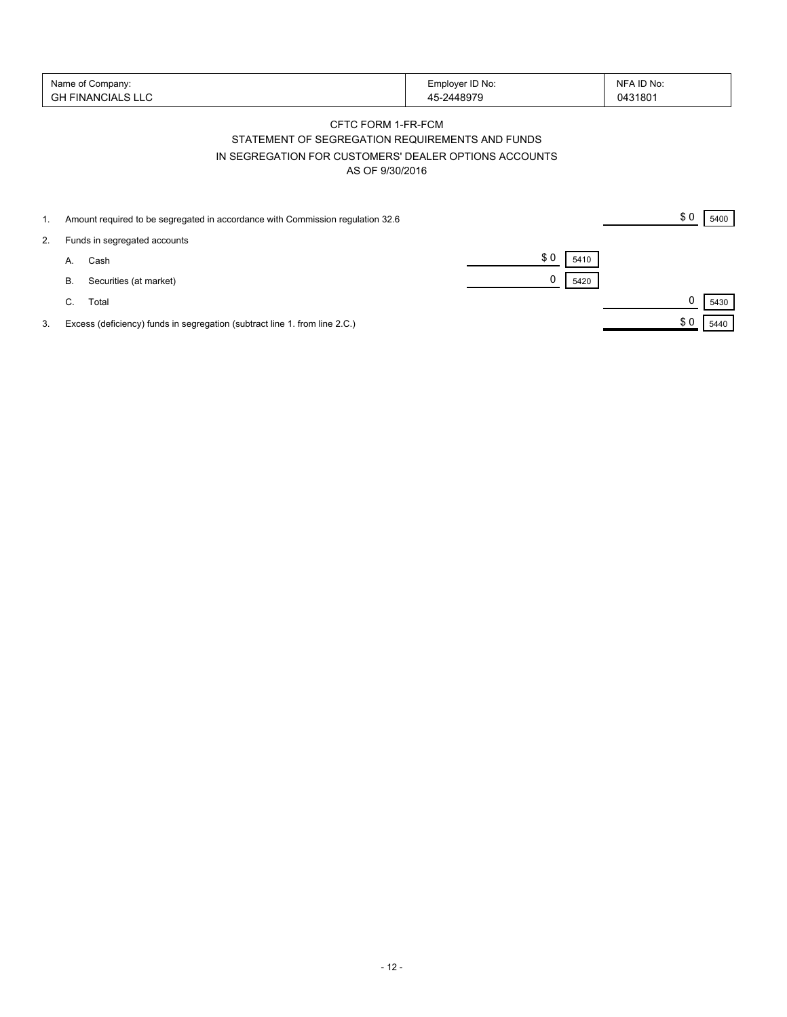| Name of<br>of Company:               | ∃mplover ID No: | . ID No: |
|--------------------------------------|-----------------|----------|
| GH.<br><b>FINAN<sup>C</sup></b><br>◡ |                 | 0431801  |

### CFTC FORM 1-FR-FCM STATEMENT OF SEGREGATION REQUIREMENTS AND FUNDS IN SEGREGATION FOR CUSTOMERS' DEALER OPTIONS ACCOUNTS AS OF 9/30/2016

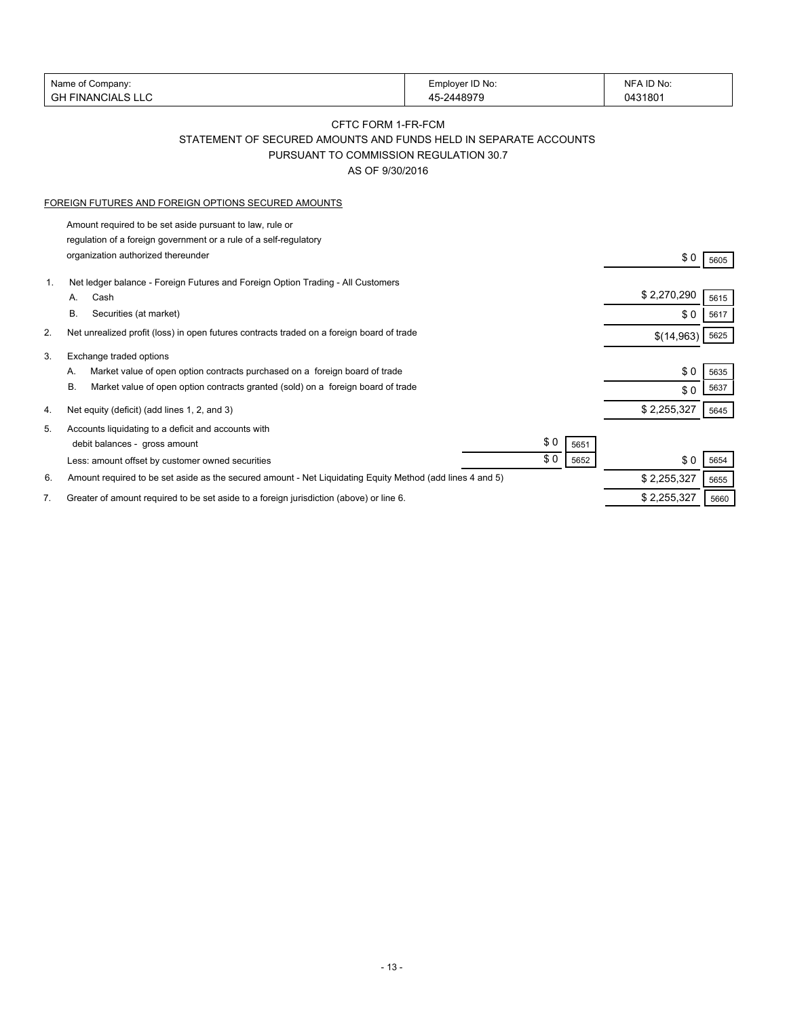| Name of Company:             | Employer ID No: | :ID No ا<br><b>NFA</b> |
|------------------------------|-----------------|------------------------|
| <b>GH FINANCIALS L</b><br>LC | 5-2448979       | J431801                |

## CFTC FORM 1-FR-FCM STATEMENT OF SECURED AMOUNTS AND FUNDS HELD IN SEPARATE ACCOUNTS PURSUANT TO COMMISSION REGULATION 30.7

AS OF 9/30/2016

#### FOREIGN FUTURES AND FOREIGN OPTIONS SECURED AMOUNTS

Amount required to be set aside pursuant to law, rule or regulation of a foreign government or a rule of a self-regulatory organization authorized thereunder  $$0$  5605

| 1. |    | Net ledger balance - Foreign Futures and Foreign Option Trading - All Customers                           |     |      |                  |      |  |
|----|----|-----------------------------------------------------------------------------------------------------------|-----|------|------------------|------|--|
|    | Α. | Cash                                                                                                      |     |      | \$2,270,290      | 5615 |  |
|    | В. | Securities (at market)                                                                                    |     |      | \$0              | 5617 |  |
| 2. |    | Net unrealized profit (loss) in open futures contracts traded on a foreign board of trade                 |     |      | $$(14,963)$ 5625 |      |  |
| 3. |    | Exchange traded options                                                                                   |     |      |                  |      |  |
|    | А. | Market value of open option contracts purchased on a foreign board of trade                               |     |      | \$0              | 5635 |  |
|    | В. | Market value of open option contracts granted (sold) on a foreign board of trade                          |     |      | \$0              | 5637 |  |
| 4. |    | Net equity (deficit) (add lines 1, 2, and 3)                                                              |     |      | \$2,255,327      | 5645 |  |
| 5. |    | Accounts liquidating to a deficit and accounts with                                                       |     |      |                  |      |  |
|    |    | debit balances - gross amount                                                                             | \$0 | 5651 |                  |      |  |
|    |    | Less: amount offset by customer owned securities                                                          | \$0 | 5652 | \$0              | 5654 |  |
| 6. |    | Amount required to be set aside as the secured amount - Net Liquidating Equity Method (add lines 4 and 5) |     |      | \$2,255,327      | 5655 |  |
|    |    | Greater of amount required to be set aside to a foreign jurisdiction (above) or line 6.                   |     |      | \$2,255,327      | 5660 |  |
|    |    |                                                                                                           |     |      |                  |      |  |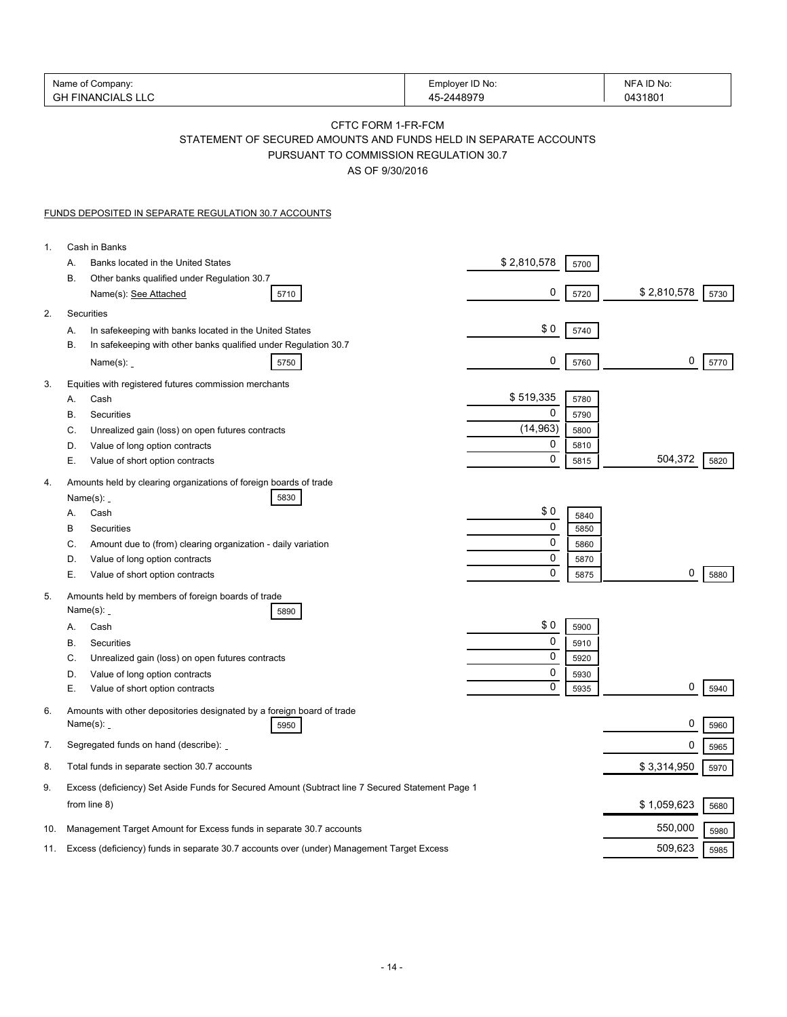|     | Name of Company:<br><b>GH FINANCIALS LLC</b>                                                                                                               |  | Employer ID No:<br>45-2448979 |              | NFA ID No:<br>0431801 |
|-----|------------------------------------------------------------------------------------------------------------------------------------------------------------|--|-------------------------------|--------------|-----------------------|
|     | <b>CFTC FORM 1-FR-FCM</b><br>STATEMENT OF SECURED AMOUNTS AND FUNDS HELD IN SEPARATE ACCOUNTS<br>PURSUANT TO COMMISSION REGULATION 30.7<br>AS OF 9/30/2016 |  |                               |              |                       |
|     | FUNDS DEPOSITED IN SEPARATE REGULATION 30.7 ACCOUNTS                                                                                                       |  |                               |              |                       |
| 1.  | Cash in Banks                                                                                                                                              |  |                               |              |                       |
|     | Banks located in the United States<br>А.                                                                                                                   |  | \$2,810,578                   | 5700         |                       |
|     | В.<br>Other banks qualified under Regulation 30.7<br>Name(s): See Attached<br>5710                                                                         |  | 0                             | 5720         | \$2,810,578<br>5730   |
| 2.  | Securities                                                                                                                                                 |  |                               |              |                       |
|     | In safekeeping with banks located in the United States<br>Α.                                                                                               |  | \$0                           | 5740         |                       |
|     | В.<br>In safekeeping with other banks qualified under Regulation 30.7<br>Name $(s)$ : _<br>5750                                                            |  | 0                             | 5760         | 0<br>5770             |
| 3.  | Equities with registered futures commission merchants<br>Cash<br>А.                                                                                        |  | \$519,335                     | 5780         |                       |
|     | В.<br>Securities                                                                                                                                           |  | 0                             | 5790         |                       |
|     | C.<br>Unrealized gain (loss) on open futures contracts                                                                                                     |  | (14, 963)                     | 5800         |                       |
|     | Value of long option contracts<br>D.<br>Е.<br>Value of short option contracts                                                                              |  | 0<br>0                        | 5810<br>5815 | 504,372<br>5820       |
| 4.  | Amounts held by clearing organizations of foreign boards of trade<br>5830<br>Name $(s)$ :                                                                  |  |                               |              |                       |
|     | Cash<br>А.                                                                                                                                                 |  | \$0                           | 5840         |                       |
|     | В<br>Securities                                                                                                                                            |  | 0<br>0                        | 5850<br>5860 |                       |
|     | Amount due to (from) clearing organization - daily variation<br>C.<br>Value of long option contracts<br>D.                                                 |  | 0                             | 5870         |                       |
|     | Е.<br>Value of short option contracts                                                                                                                      |  | 0                             | 5875         | 0<br>5880             |
| 5.  | Amounts held by members of foreign boards of trade<br>Name $(s)$ :<br>5890                                                                                 |  |                               |              |                       |
|     | Cash<br>А.                                                                                                                                                 |  | \$0                           | 5900         |                       |
|     | B<br>Securities                                                                                                                                            |  | $\Omega$                      | 5910         |                       |
|     | C.<br>Unrealized gain (loss) on open futures contracts                                                                                                     |  | 0                             | 5920         |                       |
|     | Value of long option contracts<br>D.                                                                                                                       |  | 0<br>0                        | 5930         |                       |
| 6.  | Е.<br>Value of short option contracts<br>Amounts with other depositories designated by a foreign board of trade                                            |  |                               | 5935         | 0<br>5940             |
|     | Name $(s)$ :<br>5950                                                                                                                                       |  |                               |              | 0<br>5960             |
| 7.  | Segregated funds on hand (describe):                                                                                                                       |  |                               |              | 0<br>5965             |
| 8.  | Total funds in separate section 30.7 accounts                                                                                                              |  |                               |              | \$3,314,950<br>5970   |
| 9.  | Excess (deficiency) Set Aside Funds for Secured Amount (Subtract line 7 Secured Statement Page 1<br>from line 8)                                           |  |                               |              | \$1,059,623<br>5680   |
| 10. | Management Target Amount for Excess funds in separate 30.7 accounts                                                                                        |  |                               |              | 550,000<br>5980       |
| 11. | Excess (deficiency) funds in separate 30.7 accounts over (under) Management Target Excess                                                                  |  |                               |              | 509,623<br>5985       |
|     |                                                                                                                                                            |  |                               |              |                       |